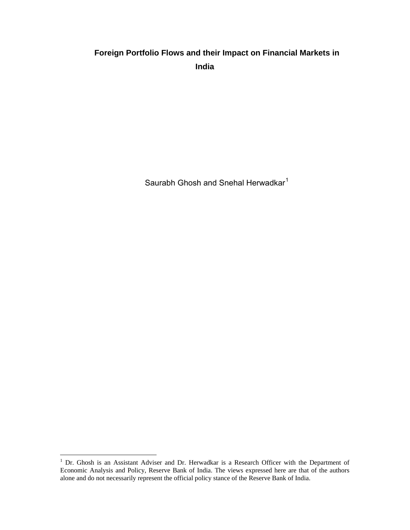# **Foreign Portfolio Flows and their Impact on Financial Markets in India**

Saurabh Ghosh and Snehal Herwadkar<sup>[1](#page-0-0)</sup>

<span id="page-0-0"></span><sup>&</sup>lt;sup>1</sup> Dr. Ghosh is an Assistant Adviser and Dr. Herwadkar is a Research Officer with the Department of Economic Analysis and Policy, Reserve Bank of India. The views expressed here are that of the authors alone and do not necessarily represent the official policy stance of the Reserve Bank of India.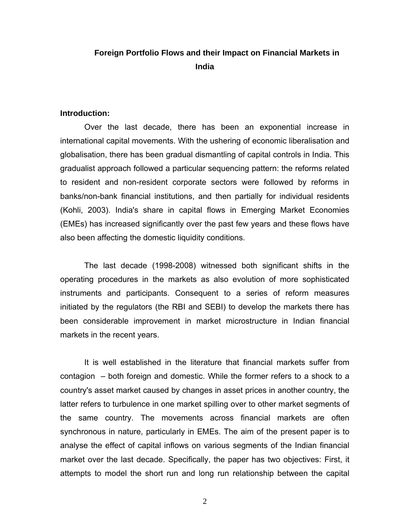# **Foreign Portfolio Flows and their Impact on Financial Markets in India**

#### **Introduction:**

Over the last decade, there has been an exponential increase in international capital movements. With the ushering of economic liberalisation and globalisation, there has been gradual dismantling of capital controls in India. This gradualist approach followed a particular sequencing pattern: the reforms related to resident and non-resident corporate sectors were followed by reforms in banks/non-bank financial institutions, and then partially for individual residents (Kohli, 2003). India's share in capital flows in Emerging Market Economies (EMEs) has increased significantly over the past few years and these flows have also been affecting the domestic liquidity conditions.

The last decade (1998-2008) witnessed both significant shifts in the operating procedures in the markets as also evolution of more sophisticated instruments and participants. Consequent to a series of reform measures initiated by the regulators (the RBI and SEBI) to develop the markets there has been considerable improvement in market microstructure in Indian financial markets in the recent years.

It is well established in the literature that financial markets suffer from contagion – both foreign and domestic. While the former refers to a shock to a country's asset market caused by changes in asset prices in another country, the latter refers to turbulence in one market spilling over to other market segments of the same country. The movements across financial markets are often synchronous in nature, particularly in EMEs. The aim of the present paper is to analyse the effect of capital inflows on various segments of the Indian financial market over the last decade. Specifically, the paper has two objectives: First, it attempts to model the short run and long run relationship between the capital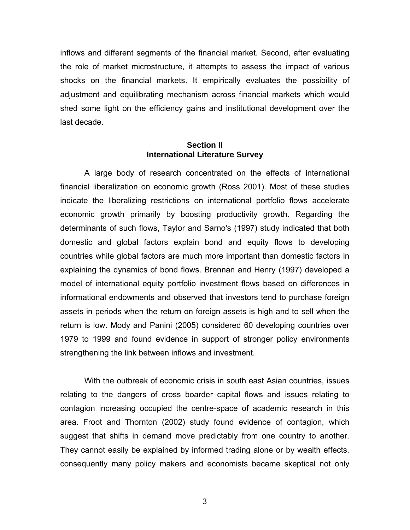inflows and different segments of the financial market. Second, after evaluating the role of market microstructure, it attempts to assess the impact of various shocks on the financial markets. It empirically evaluates the possibility of adjustment and equilibrating mechanism across financial markets which would shed some light on the efficiency gains and institutional development over the last decade.

### **Section II International Literature Survey**

A large body of research concentrated on the effects of international financial liberalization on economic growth (Ross 2001). Most of these studies indicate the liberalizing restrictions on international portfolio flows accelerate economic growth primarily by boosting productivity growth. Regarding the determinants of such flows, Taylor and Sarno's (1997) study indicated that both domestic and global factors explain bond and equity flows to developing countries while global factors are much more important than domestic factors in explaining the dynamics of bond flows. Brennan and Henry (1997) developed a model of international equity portfolio investment flows based on differences in informational endowments and observed that investors tend to purchase foreign assets in periods when the return on foreign assets is high and to sell when the return is low. Mody and Panini (2005) considered 60 developing countries over 1979 to 1999 and found evidence in support of stronger policy environments strengthening the link between inflows and investment.

With the outbreak of economic crisis in south east Asian countries, issues relating to the dangers of cross boarder capital flows and issues relating to contagion increasing occupied the centre-space of academic research in this area. Froot and Thornton (2002) study found evidence of contagion, which suggest that shifts in demand move predictably from one country to another. They cannot easily be explained by informed trading alone or by wealth effects. consequently many policy makers and economists became skeptical not only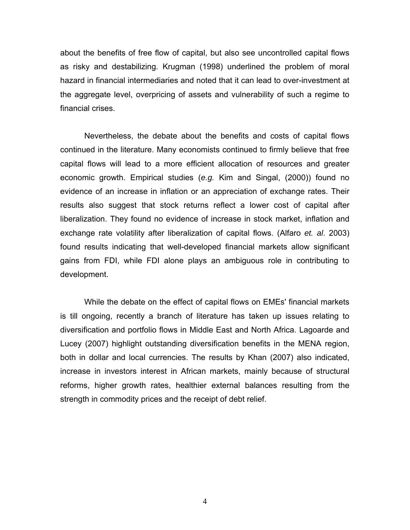about the benefits of free flow of capital, but also see uncontrolled capital flows as risky and destabilizing. Krugman (1998) underlined the problem of moral hazard in financial intermediaries and noted that it can lead to over-investment at the aggregate level, overpricing of assets and vulnerability of such a regime to financial crises.

Nevertheless, the debate about the benefits and costs of capital flows continued in the literature. Many economists continued to firmly believe that free capital flows will lead to a more efficient allocation of resources and greater economic growth. Empirical studies (*e.g.* Kim and Singal, (2000)) found no evidence of an increase in inflation or an appreciation of exchange rates. Their results also suggest that stock returns reflect a lower cost of capital after liberalization. They found no evidence of increase in stock market, inflation and exchange rate volatility after liberalization of capital flows. (Alfaro *et. al*. 2003) found results indicating that well-developed financial markets allow significant gains from FDI, while FDI alone plays an ambiguous role in contributing to development.

While the debate on the effect of capital flows on EMEs' financial markets is till ongoing, recently a branch of literature has taken up issues relating to diversification and portfolio flows in Middle East and North Africa. Lagoarde and Lucey (2007) highlight outstanding diversification benefits in the MENA region, both in dollar and local currencies. The results by Khan (2007) also indicated, increase in investors interest in African markets, mainly because of structural reforms, higher growth rates, healthier external balances resulting from the strength in commodity prices and the receipt of debt relief.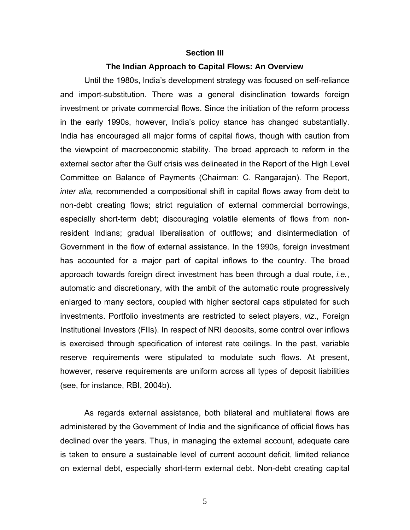#### **Section III**

#### **The Indian Approach to Capital Flows: An Overview**

Until the 1980s, India's development strategy was focused on self-reliance and import-substitution. There was a general disinclination towards foreign investment or private commercial flows. Since the initiation of the reform process in the early 1990s, however, India's policy stance has changed substantially. India has encouraged all major forms of capital flows, though with caution from the viewpoint of macroeconomic stability. The broad approach to reform in the external sector after the Gulf crisis was delineated in the Report of the High Level Committee on Balance of Payments (Chairman: C. Rangarajan). The Report, *inter alia,* recommended a compositional shift in capital flows away from debt to non-debt creating flows; strict regulation of external commercial borrowings, especially short-term debt; discouraging volatile elements of flows from nonresident Indians; gradual liberalisation of outflows; and disintermediation of Government in the flow of external assistance. In the 1990s, foreign investment has accounted for a major part of capital inflows to the country. The broad approach towards foreign direct investment has been through a dual route, *i.e.*, automatic and discretionary, with the ambit of the automatic route progressively enlarged to many sectors, coupled with higher sectoral caps stipulated for such investments. Portfolio investments are restricted to select players, *viz*., Foreign Institutional Investors (FIIs). In respect of NRI deposits, some control over inflows is exercised through specification of interest rate ceilings. In the past, variable reserve requirements were stipulated to modulate such flows. At present, however, reserve requirements are uniform across all types of deposit liabilities (see, for instance, RBI, 2004b).

As regards external assistance, both bilateral and multilateral flows are administered by the Government of India and the significance of official flows has declined over the years. Thus, in managing the external account, adequate care is taken to ensure a sustainable level of current account deficit, limited reliance on external debt, especially short-term external debt. Non-debt creating capital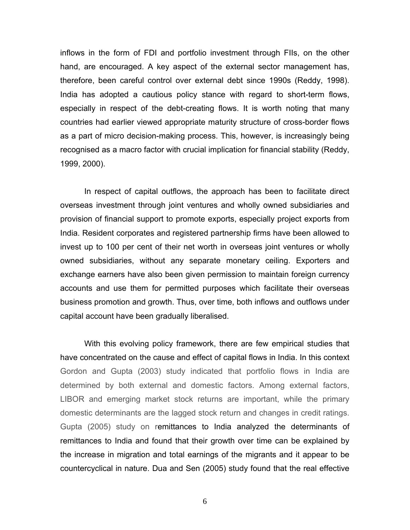inflows in the form of FDI and portfolio investment through FIIs, on the other hand, are encouraged. A key aspect of the external sector management has, therefore, been careful control over external debt since 1990s (Reddy, 1998). India has adopted a cautious policy stance with regard to short-term flows, especially in respect of the debt-creating flows. It is worth noting that many countries had earlier viewed appropriate maturity structure of cross-border flows as a part of micro decision-making process. This, however, is increasingly being recognised as a macro factor with crucial implication for financial stability (Reddy, 1999, 2000).

In respect of capital outflows, the approach has been to facilitate direct overseas investment through joint ventures and wholly owned subsidiaries and provision of financial support to promote exports, especially project exports from India. Resident corporates and registered partnership firms have been allowed to invest up to 100 per cent of their net worth in overseas joint ventures or wholly owned subsidiaries, without any separate monetary ceiling. Exporters and exchange earners have also been given permission to maintain foreign currency accounts and use them for permitted purposes which facilitate their overseas business promotion and growth. Thus, over time, both inflows and outflows under capital account have been gradually liberalised.

With this evolving policy framework, there are few empirical studies that have concentrated on the cause and effect of capital flows in India. In this context Gordon and Gupta (2003) study indicated that portfolio flows in India are determined by both external and domestic factors. Among external factors, LIBOR and emerging market stock returns are important, while the primary domestic determinants are the lagged stock return and changes in credit ratings. Gupta (2005) study on remittances to India analyzed the determinants of remittances to India and found that their growth over time can be explained by the increase in migration and total earnings of the migrants and it appear to be countercyclical in nature. Dua and Sen (2005) study found that the real effective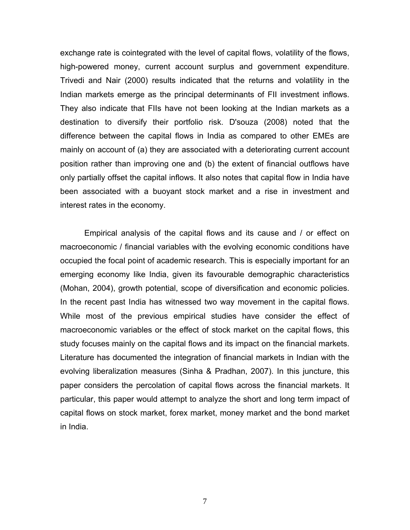exchange rate is cointegrated with the level of capital flows, volatility of the flows, high-powered money, current account surplus and government expenditure. Trivedi and Nair (2000) results indicated that the returns and volatility in the Indian markets emerge as the principal determinants of FII investment inflows. They also indicate that FIIs have not been looking at the Indian markets as a destination to diversify their portfolio risk. D'souza (2008) noted that the difference between the capital flows in India as compared to other EMEs are mainly on account of (a) they are associated with a deteriorating current account position rather than improving one and (b) the extent of financial outflows have only partially offset the capital inflows. It also notes that capital flow in India have been associated with a buoyant stock market and a rise in investment and interest rates in the economy.

Empirical analysis of the capital flows and its cause and / or effect on macroeconomic / financial variables with the evolving economic conditions have occupied the focal point of academic research. This is especially important for an emerging economy like India, given its favourable demographic characteristics (Mohan, 2004), growth potential, scope of diversification and economic policies. In the recent past India has witnessed two way movement in the capital flows. While most of the previous empirical studies have consider the effect of macroeconomic variables or the effect of stock market on the capital flows, this study focuses mainly on the capital flows and its impact on the financial markets. Literature has documented the integration of financial markets in Indian with the evolving liberalization measures (Sinha & Pradhan, 2007). In this juncture, this paper considers the percolation of capital flows across the financial markets. It particular, this paper would attempt to analyze the short and long term impact of capital flows on stock market, forex market, money market and the bond market in India.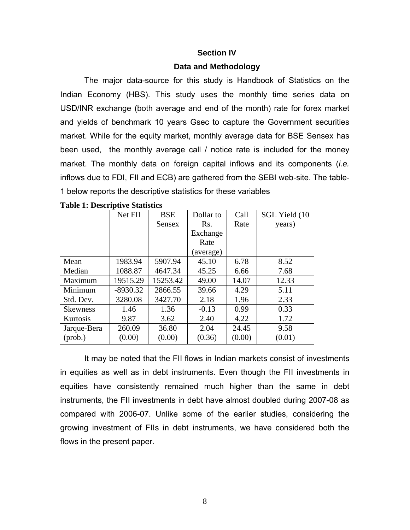#### **Section IV**

#### **Data and Methodology**

The major data-source for this study is Handbook of Statistics on the Indian Economy (HBS). This study uses the monthly time series data on USD/INR exchange (both average and end of the month) rate for forex market and yields of benchmark 10 years Gsec to capture the Government securities market. While for the equity market, monthly average data for BSE Sensex has been used, the monthly average call / notice rate is included for the money market. The monthly data on foreign capital inflows and its components (*i.e.* inflows due to FDI, FII and ECB) are gathered from the SEBI web-site. The table-1 below reports the descriptive statistics for these variables

|                 | Net FII    | <b>BSE</b> | Dollar to | Call   | SGL Yield (10 |
|-----------------|------------|------------|-----------|--------|---------------|
|                 |            | Sensex     | Rs.       | Rate   | years)        |
|                 |            |            | Exchange  |        |               |
|                 |            |            | Rate      |        |               |
|                 |            |            | (average) |        |               |
| Mean            | 1983.94    | 5907.94    | 45.10     | 6.78   | 8.52          |
| Median          | 1088.87    | 4647.34    | 45.25     | 6.66   | 7.68          |
| Maximum         | 19515.29   | 15253.42   | 49.00     | 14.07  | 12.33         |
| Minimum         | $-8930.32$ | 2866.55    | 39.66     | 4.29   | 5.11          |
| Std. Dev.       | 3280.08    | 3427.70    | 2.18      | 1.96   | 2.33          |
| <b>Skewness</b> | 1.46       | 1.36       | $-0.13$   | 0.99   | 0.33          |
| Kurtosis        | 9.87       | 3.62       | 2.40      | 4.22   | 1.72          |
| Jarque-Bera     | 260.09     | 36.80      | 2.04      | 24.45  | 9.58          |
| $(prob.)$       | (0.00)     | (0.00)     | (0.36)    | (0.00) | (0.01)        |

|  | <b>Table 1: Descriptive Statistics</b> |  |
|--|----------------------------------------|--|
|  |                                        |  |

It may be noted that the FII flows in Indian markets consist of investments in equities as well as in debt instruments. Even though the FII investments in equities have consistently remained much higher than the same in debt instruments, the FII investments in debt have almost doubled during 2007-08 as compared with 2006-07. Unlike some of the earlier studies, considering the growing investment of FIIs in debt instruments, we have considered both the flows in the present paper.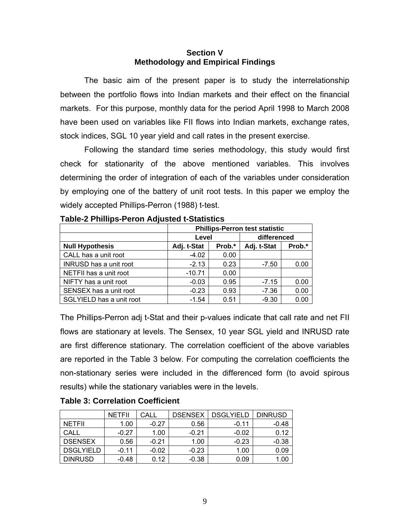## **Section V Methodology and Empirical Findings**

The basic aim of the present paper is to study the interrelationship between the portfolio flows into Indian markets and their effect on the financial markets. For this purpose, monthly data for the period April 1998 to March 2008 have been used on variables like FII flows into Indian markets, exchange rates, stock indices, SGL 10 year yield and call rates in the present exercise.

Following the standard time series methodology, this study would first check for stationarity of the above mentioned variables. This involves determining the order of integration of each of the variables under consideration by employing one of the battery of unit root tests. In this paper we employ the widely accepted Phillips-Perron (1988) t-test.

|                          | <b>Phillips-Perron test statistic</b> |        |             |             |  |
|--------------------------|---------------------------------------|--------|-------------|-------------|--|
|                          | Level                                 |        |             | differenced |  |
| <b>Null Hypothesis</b>   | Adj. t-Stat                           | Prob.* | Adj. t-Stat | Prob.*      |  |
| CALL has a unit root     | $-4.02$                               | 0.00   |             |             |  |
| INRUSD has a unit root   | $-2.13$                               | 0.23   | $-7.50$     | 0.00        |  |
| NETFII has a unit root   | $-10.71$                              | 0.00   |             |             |  |
| NIFTY has a unit root    | $-0.03$                               | 0.95   | $-7.15$     | 0.00        |  |
| SENSEX has a unit root   | $-0.23$                               | 0.93   | $-7.36$     | 0.00        |  |
| SGLYIELD has a unit root | $-1.54$                               | 0.51   | $-9.30$     | 0.00        |  |

The Phillips-Perron adj t-Stat and their p-values indicate that call rate and net FII flows are stationary at levels. The Sensex, 10 year SGL yield and INRUSD rate are first difference stationary. The correlation coefficient of the above variables are reported in the Table 3 below. For computing the correlation coefficients the non-stationary series were included in the differenced form (to avoid spirous results) while the stationary variables were in the levels.

|                  | <b>NETFII</b> | CALL    | <b>DSENSEX</b> | <b>DSGLYIELD</b> | <b>DINRUSD</b> |
|------------------|---------------|---------|----------------|------------------|----------------|
| <b>NETFIL</b>    | 1.00          | $-0.27$ | 0.56           | $-0.11$          | -0.48          |
| CALL             | $-0.27$       | 1.00    | $-0.21$        | $-0.02$          | 0.12           |
| <b>DSENSEX</b>   | 0.56          | $-0.21$ | 1.00           | $-0.23$          | $-0.38$        |
| <b>DSGLYIELD</b> | $-0.11$       | $-0.02$ | $-0.23$        | 1.00             | 0.09           |
| <b>DINRUSD</b>   | $-0.48$       | 0.12    | $-0.38$        | 0.09             | 1.00           |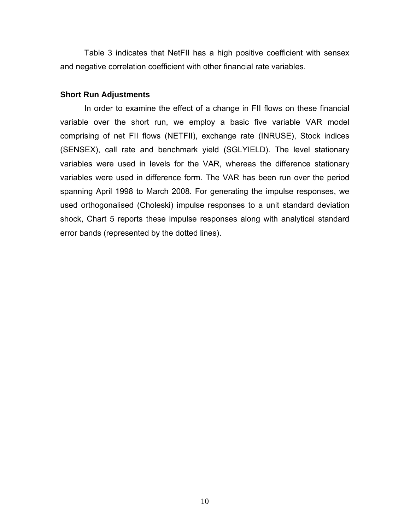Table 3 indicates that NetFII has a high positive coefficient with sensex and negative correlation coefficient with other financial rate variables.

#### **Short Run Adjustments**

In order to examine the effect of a change in FII flows on these financial variable over the short run, we employ a basic five variable VAR model comprising of net FII flows (NETFII), exchange rate (INRUSE), Stock indices (SENSEX), call rate and benchmark yield (SGLYIELD). The level stationary variables were used in levels for the VAR, whereas the difference stationary variables were used in difference form. The VAR has been run over the period spanning April 1998 to March 2008. For generating the impulse responses, we used orthogonalised (Choleski) impulse responses to a unit standard deviation shock, Chart 5 reports these impulse responses along with analytical standard error bands (represented by the dotted lines).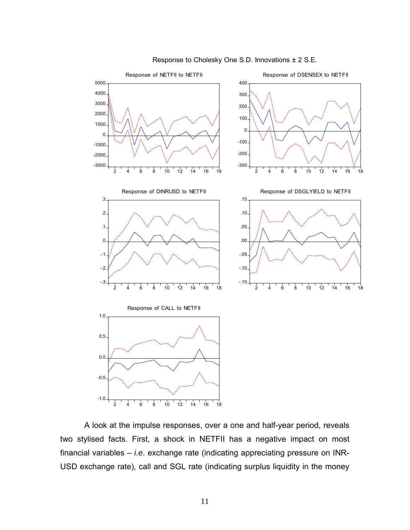

Response to Cholesky One S.D. Innovations ± 2 S.E.

A look at the impulse responses, over a one and half-year period, reveals two stylised facts. First, a shock in NETFII has a negative impact on most financial variables – *i.e*. exchange rate (indicating appreciating pressure on INR-USD exchange rate), call and SGL rate (indicating surplus liquidity in the money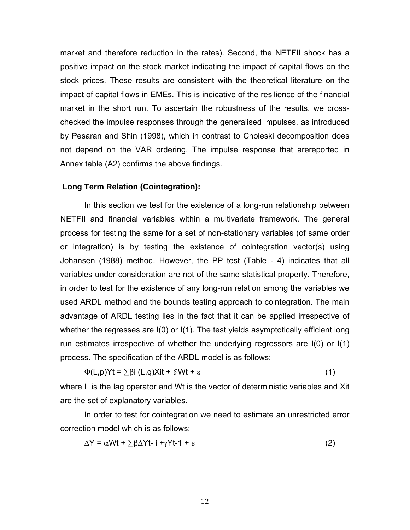market and therefore reduction in the rates). Second, the NETFII shock has a positive impact on the stock market indicating the impact of capital flows on the stock prices. These results are consistent with the theoretical literature on the impact of capital flows in EMEs. This is indicative of the resilience of the financial market in the short run. To ascertain the robustness of the results, we crosschecked the impulse responses through the generalised impulses, as introduced by Pesaran and Shin (1998), which in contrast to Choleski decomposition does not depend on the VAR ordering. The impulse response that arereported in Annex table (A2) confirms the above findings.

#### **Long Term Relation (Cointegration):**

In this section we test for the existence of a long-run relationship between NETFII and financial variables within a multivariate framework. The general process for testing the same for a set of non-stationary variables (of same order or integration) is by testing the existence of cointegration vector(s) using Johansen (1988) method. However, the PP test (Table - 4) indicates that all variables under consideration are not of the same statistical property. Therefore, in order to test for the existence of any long-run relation among the variables we used ARDL method and the bounds testing approach to cointegration. The main advantage of ARDL testing lies in the fact that it can be applied irrespective of whether the regresses are I(0) or I(1). The test yields asymptotically efficient long run estimates irrespective of whether the underlying regressors are I(0) or I(1) process. The specification of the ARDL model is as follows:

$$
\Phi(L, p) Yt = \sum \beta i (L, q) Xit + \delta Wt + \varepsilon
$$
 (1)

where L is the lag operator and Wt is the vector of deterministic variables and Xit are the set of explanatory variables.

In order to test for cointegration we need to estimate an unrestricted error correction model which is as follows:

$$
\Delta Y = \alpha W t + \sum \beta \Delta Y t - i + \gamma Y t - 1 + \varepsilon \tag{2}
$$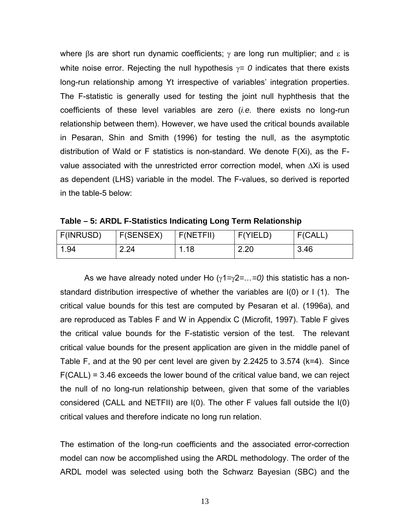where  $\beta$ s are short run dynamic coefficients;  $\gamma$  are long run multiplier; and  $\epsilon$  is white noise error. Rejecting the null hypothesis γ*= 0* indicates that there exists long-run relationship among Yt irrespective of variables' integration properties. The F-statistic is generally used for testing the joint null hyphthesis that the coefficients of these level variables are zero (*i.e.* there exists no long-run relationship between them). However, we have used the critical bounds available in Pesaran, Shin and Smith (1996) for testing the null, as the asymptotic distribution of Wald or F statistics is non-standard. We denote F(Xi), as the Fvalue associated with the unrestricted error correction model, when ∆Xi is used as dependent (LHS) variable in the model. The F-values, so derived is reported in the table-5 below:

| Table – 5: ARDL F-Statistics Indicating Long Term Relationship |
|----------------------------------------------------------------|
|----------------------------------------------------------------|

| F(INRUSD) | F(SENSEX) | F(NETFII) | F(Y ELD) | F(CALL, |
|-----------|-----------|-----------|----------|---------|
| 1.94      | 2.24      | l.18      | 2.20     | 3.46    |

 As we have already noted under Ho (γ1*=*γ2*=…=0)* this statistic has a nonstandard distribution irrespective of whether the variables are I(0) or I (1). The critical value bounds for this test are computed by Pesaran et al. (1996a), and are reproduced as Tables F and W in Appendix C (Microfit, 1997). Table F gives the critical value bounds for the F-statistic version of the test. The relevant critical value bounds for the present application are given in the middle panel of Table F, and at the 90 per cent level are given by 2.2425 to 3.574 (k=4). Since F(CALL) = 3.46 exceeds the lower bound of the critical value band, we can reject the null of no long-run relationship between, given that some of the variables considered (CALL and NETFII) are I(0). The other F values fall outside the I(0) critical values and therefore indicate no long run relation.

The estimation of the long-run coefficients and the associated error-correction model can now be accomplished using the ARDL methodology. The order of the ARDL model was selected using both the Schwarz Bayesian (SBC) and the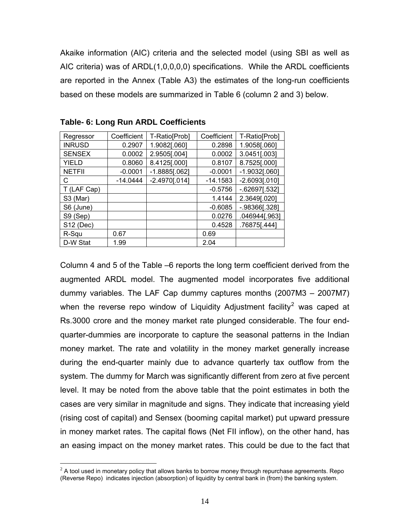Akaike information (AIC) criteria and the selected model (using SBI as well as AIC criteria) was of ARDL(1,0,0,0,0) specifications. While the ARDL coefficients are reported in the Annex (Table A3) the estimates of the long-run coefficients based on these models are summarized in Table 6 (column 2 and 3) below.

| Regressor     | Coefficient | T-Ratio[Prob]   | Coefficient | T-Ratio[Prob]    |
|---------------|-------------|-----------------|-------------|------------------|
| <b>INRUSD</b> | 0.2907      | 1.9082[.060]    | 0.2898      | 1.9058[.060]     |
| <b>SENSEX</b> | 0.0002      | 2.9505[.004]    | 0.0002      | 3.0451[.003]     |
| <b>YIELD</b>  | 0.8060      | 8.4125[.000]    | 0.8107      | 8.7525[.000]     |
| <b>NETFII</b> | $-0.0001$   | $-1.8885[.062]$ | $-0.0001$   | $-1.9032$ [.060] |
| C             | $-14.0444$  | $-2.4970[.014]$ | $-14.1583$  | $-2.6093[.010]$  |
| T (LAF Cap)   |             |                 | $-0.5756$   | $-.62697[.532]$  |
| S3 (Mar)      |             |                 | 1.4144      | 2.3649[.020]     |
| S6 (June)     |             |                 | $-0.6085$   | $-.98366$ [.328] |
| S9 (Sep)      |             |                 | 0.0276      | .046944[.963]    |
| S12 (Dec)     |             |                 | 0.4528      | .76875[.444]     |
| R-Squ         | 0.67        |                 | 0.69        |                  |
| D-W Stat      | 1.99        |                 | 2.04        |                  |

|  |  |  |  |  | Table- 6: Long Run ARDL Coefficients |
|--|--|--|--|--|--------------------------------------|
|--|--|--|--|--|--------------------------------------|

 $\overline{a}$ 

Column 4 and 5 of the Table –6 reports the long term coefficient derived from the augmented ARDL model. The augmented model incorporates five additional dummy variables. The LAF Cap dummy captures months (2007M3 – 2007M7) when the reverse repo window of Liquidity Adjustment facility<sup>[2](#page-13-0)</sup> was caped at Rs.3000 crore and the money market rate plunged considerable. The four endquarter-dummies are incorporate to capture the seasonal patterns in the Indian money market. The rate and volatility in the money market generally increase during the end-quarter mainly due to advance quarterly tax outflow from the system. The dummy for March was significantly different from zero at five percent level. It may be noted from the above table that the point estimates in both the cases are very similar in magnitude and signs. They indicate that increasing yield (rising cost of capital) and Sensex (booming capital market) put upward pressure in money market rates. The capital flows (Net FII inflow), on the other hand, has an easing impact on the money market rates. This could be due to the fact that

<span id="page-13-0"></span> $2$  A tool used in monetary policy that allows banks to borrow money through repurchase agreements. Repo (Reverse Repo) indicates injection (absorption) of liquidity by central bank in (from) the banking system.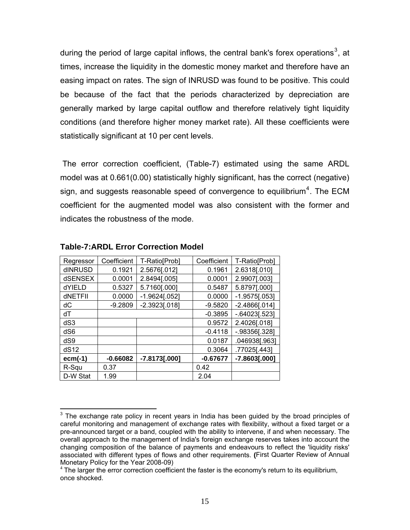during the period of large capital inflows, the central bank's forex operations<sup>[3](#page-14-0)</sup>, at times, increase the liquidity in the domestic money market and therefore have an easing impact on rates. The sign of INRUSD was found to be positive. This could be because of the fact that the periods characterized by depreciation are generally marked by large capital outflow and therefore relatively tight liquidity conditions (and therefore higher money market rate). All these coefficients were statistically significant at 10 per cent levels.

 The error correction coefficient, (Table-7) estimated using the same ARDL model was at 0.661(0.00) statistically highly significant, has the correct (negative) sign, and suggests reasonable speed of convergence to equilibrium<sup>[4](#page-14-1)</sup>. The ECM coefficient for the augmented model was also consistent with the former and indicates the robustness of the mode.

| Regressor | Coefficient | T-Ratio[Prob]   | Coefficient | T-Ratio[Prob]     |
|-----------|-------------|-----------------|-------------|-------------------|
| dINRUSD   | 0.1921      | 2.5676[.012]    | 0.1961      | 2.6318[.010]      |
| dSENSEX   | 0.0001      | 2.8494[.005]    | 0.0001      | 2.9907[.003]      |
| dYIELD    | 0.5327      | 5.7160[.000]    | 0.5487      | 5.8797[.000]      |
| dNETFII   | 0.0000      | $-1.9624[.052]$ | 0.0000      | $-1.9575[.053]$   |
| dC        | $-9.2809$   | $-2.3923[.018]$ | $-9.5820$   | $-2.4866[.014]$   |
| dT        |             |                 | $-0.3895$   | $-.64023[.523]$   |
| dS3       |             |                 | 0.9572      | 2.4026[.018]      |
| dS6       |             |                 | $-0.4118$   | $-0.98356$ [.328] |
| dS9       |             |                 | 0.0187      | .046938[.963]     |
| dS12      |             |                 | 0.3064      | .77025[.443]      |
| $ecm(-1)$ | $-0.66082$  | $-7.8173[.000]$ | $-0.67677$  | $-7.8603[.000]$   |
| R-Squ     | 0.37        |                 | 0.42        |                   |
| D-W Stat  | 1.99        |                 | 2.04        |                   |

#### **Table-7:ARDL Error Correction Model**

 $\overline{a}$ 

<span id="page-14-0"></span> $3$  The exchange rate policy in recent years in India has been guided by the broad principles of careful monitoring and management of exchange rates with flexibility, without a fixed target or a pre-announced target or a band, coupled with the ability to intervene, if and when necessary. The overall approach to the management of India's foreign exchange reserves takes into account the changing composition of the balance of payments and endeavours to reflect the 'liquidity risks' associated with different types of flows and other requirements. **(**First Quarter Review of Annual Monetary Policy for the Year 2008-09)

<span id="page-14-1"></span> $4$  The larger the error correction coefficient the faster is the economy's return to its equilibrium, once shocked.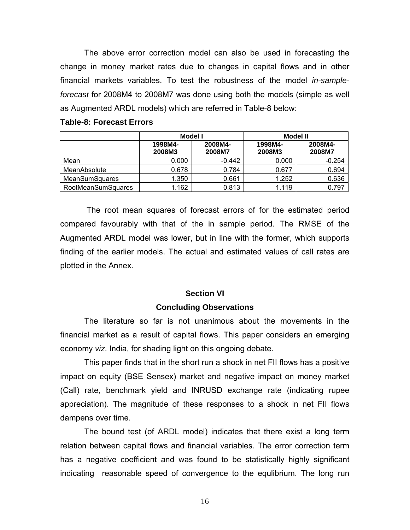The above error correction model can also be used in forecasting the change in money market rates due to changes in capital flows and in other financial markets variables. To test the robustness of the model *in-sampleforecast* for 2008M4 to 2008M7 was done using both the models (simple as well as Augmented ARDL models) which are referred in Table-8 below:

|                           | Model I           |                   | <b>Model II</b>   |                   |  |
|---------------------------|-------------------|-------------------|-------------------|-------------------|--|
|                           | 1998M4-<br>2008M3 | 2008M4-<br>2008M7 | 1998M4-<br>2008M3 | 2008M4-<br>2008M7 |  |
| Mean                      | 0.000             | $-0.442$          | 0.000             | $-0.254$          |  |
| MeanAbsolute              | 0.678             | 0.784             | 0.677             | 0.694             |  |
| <b>MeanSumSquares</b>     | 1.350             | 0.661             | 1.252             | 0.636             |  |
| <b>RootMeanSumSquares</b> | 1.162             | 0.813             | 1.119             | 0.797             |  |

#### **Table-8: Forecast Errors**

 The root mean squares of forecast errors of for the estimated period compared favourably with that of the in sample period. The RMSE of the Augmented ARDL model was lower, but in line with the former, which supports finding of the earlier models. The actual and estimated values of call rates are plotted in the Annex.

#### **Section VI**

### **Concluding Observations**

The literature so far is not unanimous about the movements in the financial market as a result of capital flows. This paper considers an emerging economy *viz*. India, for shading light on this ongoing debate.

This paper finds that in the short run a shock in net FII flows has a positive impact on equity (BSE Sensex) market and negative impact on money market (Call) rate, benchmark yield and INRUSD exchange rate (indicating rupee appreciation). The magnitude of these responses to a shock in net FII flows dampens over time.

The bound test (of ARDL model) indicates that there exist a long term relation between capital flows and financial variables. The error correction term has a negative coefficient and was found to be statistically highly significant indicating reasonable speed of convergence to the equlibrium. The long run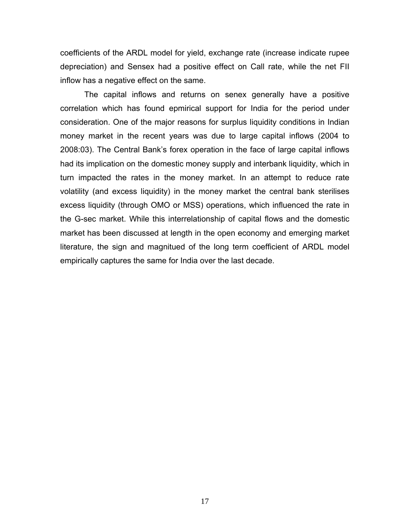coefficients of the ARDL model for yield, exchange rate (increase indicate rupee depreciation) and Sensex had a positive effect on Call rate, while the net FII inflow has a negative effect on the same.

The capital inflows and returns on senex generally have a positive correlation which has found epmirical support for India for the period under consideration. One of the major reasons for surplus liquidity conditions in Indian money market in the recent years was due to large capital inflows (2004 to 2008:03). The Central Bank's forex operation in the face of large capital inflows had its implication on the domestic money supply and interbank liquidity, which in turn impacted the rates in the money market. In an attempt to reduce rate volatility (and excess liquidity) in the money market the central bank sterilises excess liquidity (through OMO or MSS) operations, which influenced the rate in the G-sec market. While this interrelationship of capital flows and the domestic market has been discussed at length in the open economy and emerging market literature, the sign and magnitued of the long term coefficient of ARDL model empirically captures the same for India over the last decade.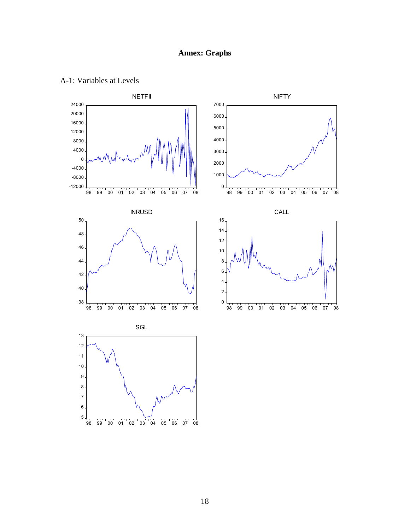## **Annex: Graphs**



## A-1: Variables at Levels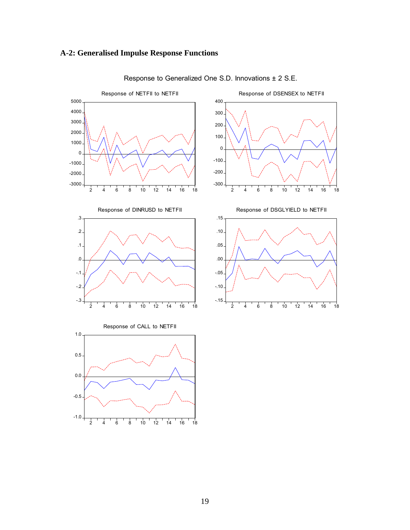## **A-2: Generalised Impulse Response Functions**



Response to Generalized One S.D. Innovations ± 2 S.E.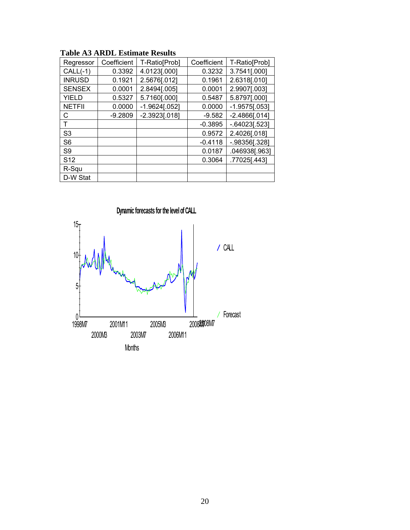| Regressor       | Coefficient | T-Ratio[Prob]   | Coefficient | T-Ratio[Prob]     |
|-----------------|-------------|-----------------|-------------|-------------------|
| $CALL(-1)$      | 0.3392      | 4.0123[.000]    | 0.3232      | 3.7541[.000]      |
| <b>INRUSD</b>   | 0.1921      | 2.5676[.012]    | 0.1961      | 2.6318[.010]      |
| <b>SENSEX</b>   | 0.0001      | 2.8494[.005]    | 0.0001      | 2.9907[.003]      |
| <b>YIELD</b>    | 0.5327      | 5.7160[.000]    | 0.5487      | 5.8797[.000]      |
| <b>NETFII</b>   | 0.0000      | $-1.9624[.052]$ | 0.0000      | $-1.9575[.053]$   |
| С               | $-9.2809$   | $-2.3923[.018]$ | $-9.582$    | $-2.4866[.014]$   |
| т               |             |                 | $-0.3895$   | $-0.64023$ [.523] |
| S <sub>3</sub>  |             |                 | 0.9572      | 2.4026[.018]      |
| S <sub>6</sub>  |             |                 | $-0.4118$   | $-.98356[.328]$   |
| S <sub>9</sub>  |             |                 | 0.0187      | 046938[.963]      |
| S <sub>12</sub> |             |                 | 0.3064      | .77025[.443]      |
| R-Squ           |             |                 |             |                   |
| D-W Stat        |             |                 |             |                   |

**Table A3 ARDL Estimate Results** 

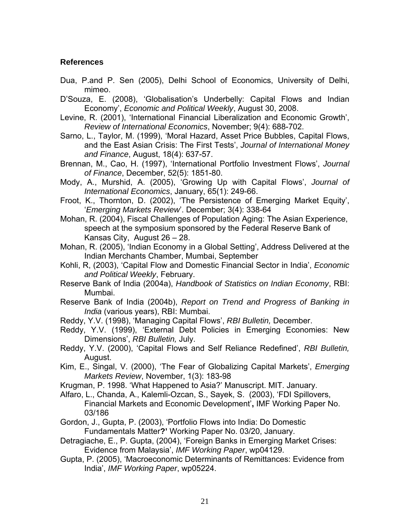## **References**

- Dua, P.and P. Sen (2005), Delhi School of Economics, University of Delhi, mimeo.
- D'Souza, E. (2008), 'Globalisation's Underbelly: Capital Flows and Indian Economy', *Economic and Political Weekly*, August 30, 2008.
- Levine, R. (2001), 'International Financial Liberalization and Economic Growth', *Review of International Economics*, November; 9(4): 688-702.
- Sarno, L., Taylor, M. (1999), 'Moral Hazard, Asset Price Bubbles, Capital Flows, and the East Asian Crisis: The First Tests', *Journal of International Money and Finance*, August, 18(4): 637-57.
- Brennan, M., Cao, H. (1997), 'International Portfolio Investment Flows', *Journal of Finance*, December, 52(5): 1851-80.
- Mody, A., Murshid, A. (2005), 'Growing Up with Capital Flows', *Journal of International Economics*, January, 65(1): 249-66.
- Froot, K., Thornton, D. (2002), 'The Persistence of Emerging Market Equity', '*Emerging Markets Review*'. December; 3(4): 338-64
- Mohan, R. (2004), Fiscal Challenges of Population Aging: The Asian Experience, speech at the symposium sponsored by the Federal Reserve Bank of Kansas City, August 26 – 28.
- Mohan, R. (2005), 'Indian Economy in a Global Setting', Address Delivered at the Indian Merchants Chamber, Mumbai, September
- Kohli, R, (2003), 'Capital Flow and Domestic Financial Sector in India', *Economic and Political Weekly*, February.
- Reserve Bank of India (2004a), *Handbook of Statistics on Indian Economy*, RBI: Mumbai.
- Reserve Bank of India (2004b), *Report on Trend and Progress of Banking in India* (various years), RBI: Mumbai.
- Reddy, Y.V. (1998), 'Managing Capital Flows', *RBI Bulletin,* December.
- Reddy, Y.V. (1999), 'External Debt Policies in Emerging Economies: New Dimensions', *RBI Bulletin,* July.
- Reddy, Y.V. (2000), 'Capital Flows and Self Reliance Redefined', *RBI Bulletin,*  August.
- Kim, E., Singal, V. (2000), 'The Fear of Globalizing Capital Markets', *Emerging Markets Review*, November, 1(3): 183-98
- Krugman, P. 1998. 'What Happened to Asia?' Manuscript. MIT. January.
- Alfaro, L., Chanda, A., Kalemli-Ozcan, S., Sayek, S. (2003), 'FDI Spillovers, Financial Markets and Economic Development'**,** IMF Working Paper No. 03/186
- Gordon, J., Gupta, P. (2003), 'Portfolio Flows into India: Do Domestic Fundamentals Matter**?'** Working Paper No. 03/20, January.
- Detragiache, E., P. Gupta, (2004), 'Foreign Banks in Emerging Market Crises: Evidence from Malaysia', *IMF Working Paper*, wp04129.
- Gupta, P. (2005), 'Macroeconomic Determinants of Remittances: Evidence from India', *IMF Working Paper*, wp05224.